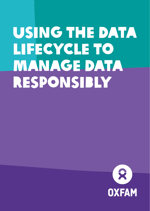# Using the data lifecycle to **MANAGE DATA** responsibly

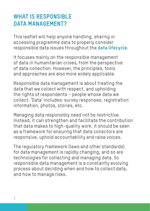#### **WHAT IS RESPONSIBLE DATA MANAGEMENT?**

This leaflet will help anyone handling, sharing or accessing programme data to properly consider responsible data issues throughout the **data lifecycle**.

It focuses mainly on the responsible management of data in humanitarian crises, from the perspective of data collection. However, the principles, tools and approaches are also more widely applicable.

Responsible data management is about treating the data that we collect with respect, and upholding the rights of respondents – people whose data we collect. 'Data' includes: survey responses, registration information, photos, stories, etc.

Managing data responsibly need not be restrictive. Instead, it can strengthen and facilitate the contribution that data makes to high-quality work. It should be seen as a framework for ensuring that data collectors are responsive, uphold accountability and raise voices.

The regulatory framework (laws and other standards) for data management is rapidly changing, and so are technologies for collecting and managing data. So responsible data management is a constantly evolving process about deciding when and how to collect data, and how to manage risks.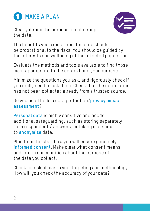

Clearly define the purpose of collecting the data.

The benefits you expect from the data should be proportional to the risks. You should be guided by the interests and wellbeing of the affected population.

Evaluate the methods and tools available to find those most appropriate to the context and your purpose.

Minimize the questions you ask, and rigorously check if you really need to ask them. Check that the information has not been collected already from a trusted source.

Do you need to do a data protection/**privacy impact assessment**?

**Personal data** is highly sensitive and needs additional safeguarding, such as storing separately from respondents' answers, or taking measures to **anonymize** data.

Plan from the start how you will ensure genuinely **informed consent**. Make clear what consent means, and inform communities about the purpose of the data you collect.

Check for risk of bias in your targeting and methodology. How will you check the accuracy of your data?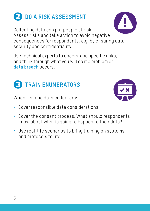## **2** DO A RISK ASSESSMENT

Collecting data can put people at risk. Assess risks and take action to avoid negative consequences for respondents, e.g. by ensuring data security and confidentiality.

Use technical experts to understand specific risks, and think through what you will do if a problem or **data breach** occurs.



**B** TRAIN ENUMERATORS

- Cover responsible data considerations.
- Cover the consent process. What should respondents know about what is going to happen to their data?
- Use real-life scenarios to bring training on systems and protocols to life.



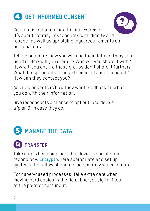

Consent is not just a box-ticking exercise – it's about treating respondents with dignity and respect as well as upholding legal requirements on personal data.

Tell respondents how you will use their data and why you need it. How will you store it? Who will you share it with? How will you ensure these groups don't share it further? What if respondents change their mind about consent? How can they contact you?

Ask respondents if/how they want feedback on what you do with their information.

Give respondents a chance to opt out, and devise a 'plan B' in case they do.



### **TRANSFER**

Take care when using portable devices and sharing technology. **Encrypt** where appropriate and set up systems that allow phones to be remotely wiped of data.

For paper-based processes, take extra care when moving hard copies in the field. Encrypt digital files at the point of data input.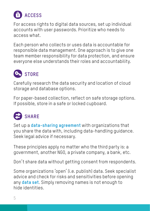

For access rights to digital data sources, set up individual accounts with user passwords. Prioritize who needs to access what.

Each person who collects or uses data is accountable for responsible data management. One approach is to give one team member responsibility for data protection, and ensure everyone else understands their roles and accountability.



Carefully research the data security and location of cloud storage and database options.

For paper-based collection, reflect on safe storage options. If possible, store in a safe or locked cupboard.



Set up a **data-sharing agreement** with organizations that you share the data with, including data-handling guidance. Seek legal advice if necessary.

These principles apply no matter who the third party is: a government, another NGO, a private company, a bank, etc.

Don't share data without getting consent from respondents.

Some organizations 'open' (i.e. publish) data. Seek specialist advice and check for risks and sensitivities before opening any **data set**. Simply removing names is not enough to hide identities.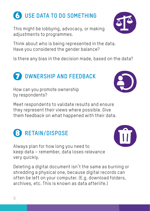### This might be lobbying, advocacy, or making adjustments to programmes.

Think about who is being represented in the data. Have you considered the gender balance?

Is there any bias in the decision made, based on the data?

#### How can you promote ownership by respondents?

**B** RETAIN/DISPOSE

**<sup>***O***</sup> OWNERSHIP AND FEEDBACK</sub>** 

Meet respondents to validate results and ensure they represent their views where possible. Give them feedback on what happened with their data.

Always plan for how long you need to keep data – remember, data loses relevance very quickly.

Deleting a digital document isn't the same as burning or shredding a physical one, because digital records can often be left on your computer. (E.g. download folders, archives, etc. This is known as data afterlife.)

 **USE DATA TO DO SOMETHING** 





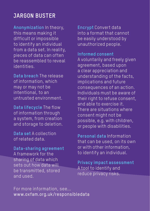#### **JARGON BUSTER**

**Anonymization** In theory, this means making it difficult or impossible to identify an individual from a data set. In reality, pieces of data can often be reassembled to reveal identities.

**Data breach** The release of information, which may or may not be intentional, to an untrusted environment.

**Data lifecycle** The flow of information through a system, from creation and storage to deletion.

**Data set** A collection of related data.

**Data-sharing agreement**  A framework for the sharing of data which sets out how data will be transmitted, stored and used.

**Encrypt** Convert data into a format that cannot be easily understood by unauthorized people.

**Informed consent**  A voluntarily and freely given agreement, based upon a clear appreciation and understanding of the facts, implications and future consequences of an action. Individuals must be aware of their right to refuse consent, and able to exercise it. There are situations where consent might not be possible, e.g. with children, or people with disabilities.

**Personal data** Information that can be used, on its own or with other information, to identify an individual.

**Privacy impact assessment**  A tool to identify and reduce privacy risks.

For more information, see... [www.oxfam.org.uk/responsibledata](http://www.oxfam.org.uk/responsibledata)